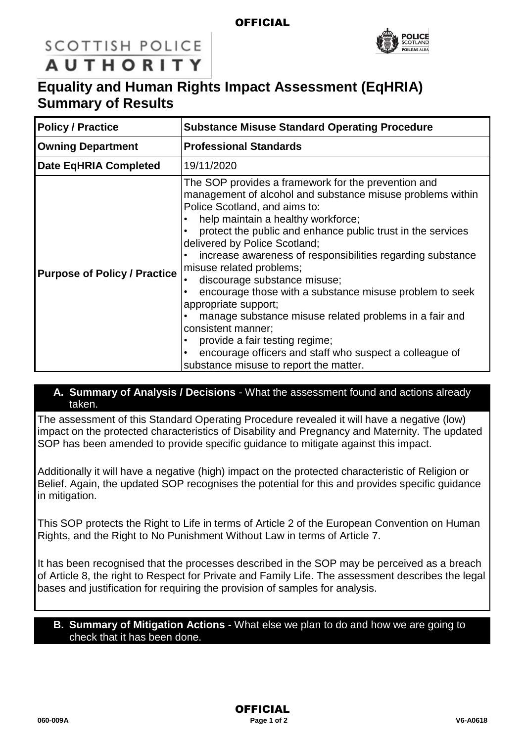#### **OFFICIAL**



### **SCOTTISH POLICE AUTHORITY**

## **Equality and Human Rights Impact Assessment (EqHRIA) Summary of Results**

| <b>Policy / Practice</b>            | <b>Substance Misuse Standard Operating Procedure</b>                                                                                                                                                                                                                                                                                                                                                                                                                                                                                                                                                                                                                                                                         |
|-------------------------------------|------------------------------------------------------------------------------------------------------------------------------------------------------------------------------------------------------------------------------------------------------------------------------------------------------------------------------------------------------------------------------------------------------------------------------------------------------------------------------------------------------------------------------------------------------------------------------------------------------------------------------------------------------------------------------------------------------------------------------|
| <b>Owning Department</b>            | <b>Professional Standards</b>                                                                                                                                                                                                                                                                                                                                                                                                                                                                                                                                                                                                                                                                                                |
| <b>Date EqHRIA Completed</b>        | 19/11/2020                                                                                                                                                                                                                                                                                                                                                                                                                                                                                                                                                                                                                                                                                                                   |
| <b>Purpose of Policy / Practice</b> | The SOP provides a framework for the prevention and<br>management of alcohol and substance misuse problems within<br>Police Scotland, and aims to:<br>help maintain a healthy workforce;<br>protect the public and enhance public trust in the services<br>delivered by Police Scotland;<br>increase awareness of responsibilities regarding substance<br>misuse related problems;<br>discourage substance misuse;<br>encourage those with a substance misuse problem to seek<br>appropriate support;<br>manage substance misuse related problems in a fair and<br>consistent manner;<br>provide a fair testing regime;<br>encourage officers and staff who suspect a colleague of<br>substance misuse to report the matter. |

#### **A. Summary of Analysis / Decisions** - What the assessment found and actions already taken.

The assessment of this Standard Operating Procedure revealed it will have a negative (low) impact on the protected characteristics of Disability and Pregnancy and Maternity. The updated SOP has been amended to provide specific guidance to mitigate against this impact.

Additionally it will have a negative (high) impact on the protected characteristic of Religion or Belief. Again, the updated SOP recognises the potential for this and provides specific guidance in mitigation.

This SOP protects the Right to Life in terms of Article 2 of the European Convention on Human Rights, and the Right to No Punishment Without Law in terms of Article 7.

It has been recognised that the processes described in the SOP may be perceived as a breach of Article 8, the right to Respect for Private and Family Life. The assessment describes the legal bases and justification for requiring the provision of samples for analysis.

#### **B. Summary of Mitigation Actions** - What else we plan to do and how we are going to check that it has been done.